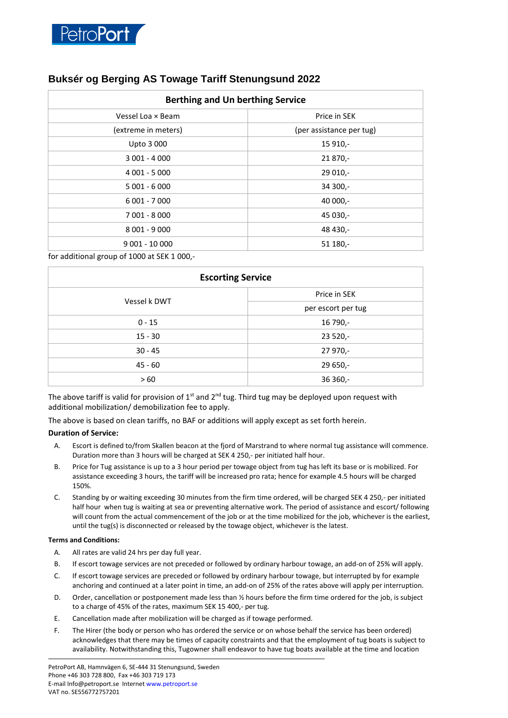

## **Buksér og Berging AS Towage Tariff Stenungsund 2022**

| <b>Berthing and Un berthing Service</b> |                          |
|-----------------------------------------|--------------------------|
| Vessel Loa × Beam                       | Price in SEK             |
| (extreme in meters)                     | (per assistance per tug) |
| Upto 3 000                              | 15 910,-                 |
| $3001 - 4000$                           | 21 870,-                 |
| 4 001 - 5 000                           | $29010,-$                |
| $5001 - 6000$                           | 34 300,-                 |
| 6 001 - 7 000                           | 40 000,-                 |
| 7 001 - 8 000                           | 45 030,-                 |
| 8 001 - 9 000                           | 48 430,-                 |
| $9001 - 10000$                          | 51 180,-                 |

for additional group of 1000 at SEK 1 000,-

| <b>Escorting Service</b> |                    |
|--------------------------|--------------------|
| Vessel k DWT             | Price in SEK       |
|                          | per escort per tug |
| $0 - 15$                 | 16 790,-           |
| $15 - 30$                | $23520 -$          |
| $30 - 45$                | 27 970,-           |
| $45 - 60$                | $29650,-$          |
| >60                      | $36360 -$          |

The above tariff is valid for provision of  $1<sup>st</sup>$  and  $2<sup>nd</sup>$  tug. Third tug may be deployed upon request with additional mobilization/ demobilization fee to apply.

The above is based on clean tariffs, no BAF or additions will apply except as set forth herein.

## **Duration of Service:**

- A. Escort is defined to/from Skallen beacon at the fjord of Marstrand to where normal tug assistance will commence. Duration more than 3 hours will be charged at SEK 4 250,- per initiated half hour.
- B. Price for Tug assistance is up to a 3 hour period per towage object from tug has left its base or is mobilized. For assistance exceeding 3 hours, the tariff will be increased pro rata; hence for example 4.5 hours will be charged 150%.
- C. Standing by or waiting exceeding 30 minutes from the firm time ordered, will be charged SEK 4 250,- per initiated half hour when tug is waiting at sea or preventing alternative work. The period of assistance and escort/ following will count from the actual commencement of the job or at the time mobilized for the job, whichever is the earliest, until the tug(s) is disconnected or released by the towage object, whichever is the latest.

## **Terms and Conditions:**

- A. All rates are valid 24 hrs per day full year.
- B. If escort towage services are not preceded or followed by ordinary harbour towage, an add-on of 25% will apply.
- C. If escort towage services are preceded or followed by ordinary harbour towage, but interrupted by for example anchoring and continued at a later point in time, an add-on of 25% of the rates above will apply per interruption.
- D. Order, cancellation or postponement made less than ½ hours before the firm time ordered for the job, is subject to a charge of 45% of the rates, maximum SEK 15 400,- per tug.
- E. Cancellation made after mobilization will be charged as if towage performed.
- F. The Hirer (the body or person who has ordered the service or on whose behalf the service has been ordered) acknowledges that there may be times of capacity constraints and that the employment of tug boats is subject to availability. Notwithstanding this, Tugowner shall endeavor to have tug boats available at the time and location